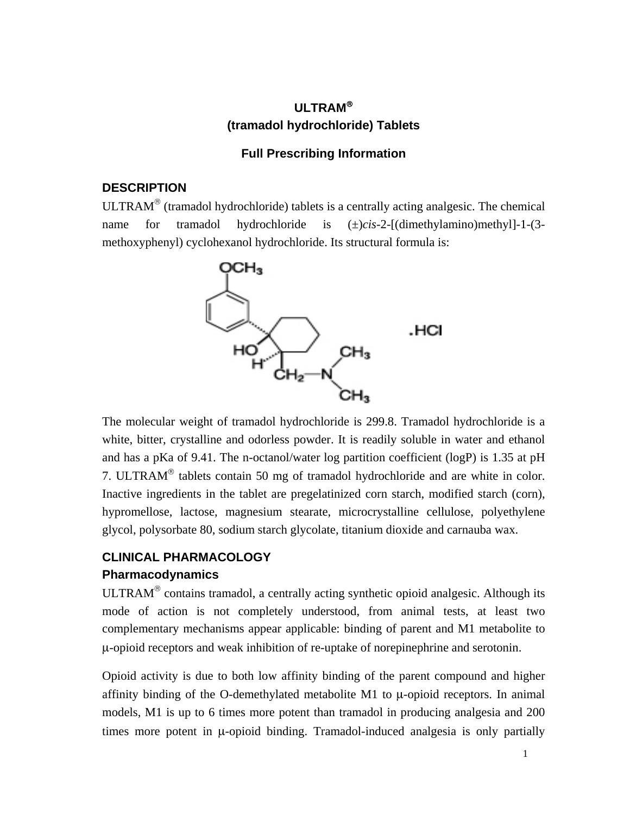## **ULTRAM**® **(tramadol hydrochloride) Tablets**

### **Full Prescribing Information**

#### **DESCRIPTION**

ULTRAM® (tramadol hydrochloride) tablets is a centrally acting analgesic. The chemical name for tramadol hydrochloride is  $(\pm) cis-2-[(dimethylamino)methyl]-1-(3$ methoxyphenyl) cyclohexanol hydrochloride. Its structural formula is:



The molecular weight of tramadol hydrochloride is 299.8. Tramadol hydrochloride is a white, bitter, crystalline and odorless powder. It is readily soluble in water and ethanol and has a pKa of 9.41. The n-octanol/water log partition coefficient (logP) is 1.35 at pH 7. ULTRAM® tablets contain 50 mg of tramadol hydrochloride and are white in color. Inactive ingredients in the tablet are pregelatinized corn starch, modified starch (corn), hypromellose, lactose, magnesium stearate, microcrystalline cellulose, polyethylene glycol, polysorbate 80, sodium starch glycolate, titanium dioxide and carnauba wax.

## **CLINICAL PHARMACOLOGY Pharmacodynamics**

ULTRAM® contains tramadol, a centrally acting synthetic opioid analgesic. Although its mode of action is not completely understood, from animal tests, at least two complementary mechanisms appear applicable: binding of parent and M1 metabolite to μ-opioid receptors and weak inhibition of re-uptake of norepinephrine and serotonin.

Opioid activity is due to both low affinity binding of the parent compound and higher affinity binding of the O-demethylated metabolite M1 to μ-opioid receptors. In animal models, M1 is up to 6 times more potent than tramadol in producing analgesia and 200 times more potent in  $\mu$ -opioid binding. Tramadol-induced analgesia is only partially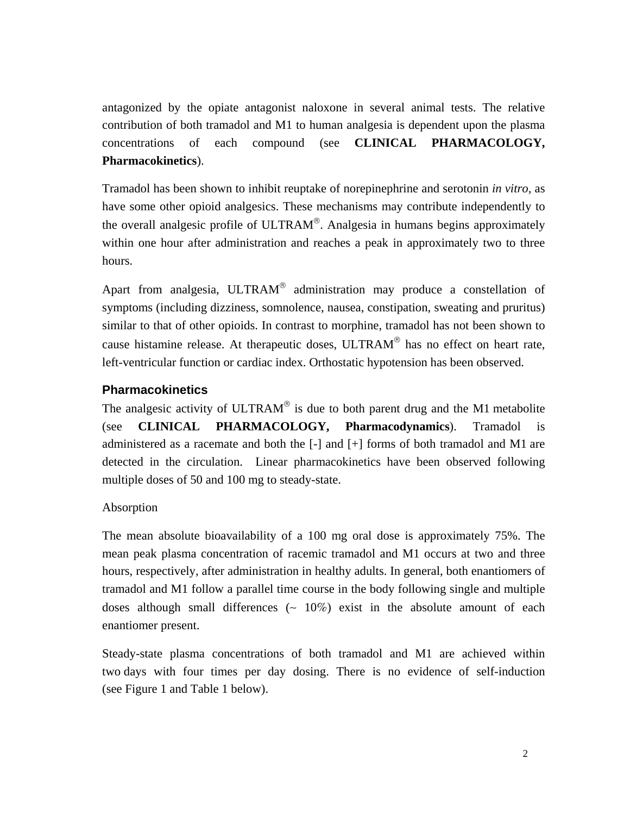antagonized by the opiate antagonist naloxone in several animal tests. The relative contribution of both tramadol and M1 to human analgesia is dependent upon the plasma concentrations of each compound (see **CLINICAL PHARMACOLOGY, Pharmacokinetics**).

Tramadol has been shown to inhibit reuptake of norepinephrine and serotonin *in vitro,* as have some other opioid analgesics. These mechanisms may contribute independently to the overall analgesic profile of ULTRAM®. Analgesia in humans begins approximately within one hour after administration and reaches a peak in approximately two to three hours.

Apart from analgesia, ULTRAM<sup>®</sup> administration may produce a constellation of symptoms (including dizziness, somnolence, nausea, constipation, sweating and pruritus) similar to that of other opioids. In contrast to morphine, tramadol has not been shown to cause histamine release. At therapeutic doses,  $ULTRAN^{\circledR}$  has no effect on heart rate, left-ventricular function or cardiac index. Orthostatic hypotension has been observed.

### **Pharmacokinetics**

The analgesic activity of ULTRAM<sup>®</sup> is due to both parent drug and the M1 metabolite (see **CLINICAL PHARMACOLOGY, Pharmacodynamics**). Tramadol is administered as a racemate and both the [-] and [+] forms of both tramadol and M1 are detected in the circulation. Linear pharmacokinetics have been observed following multiple doses of 50 and 100 mg to steady-state.

## Absorption

The mean absolute bioavailability of a 100 mg oral dose is approximately 75%. The mean peak plasma concentration of racemic tramadol and M1 occurs at two and three hours, respectively, after administration in healthy adults. In general, both enantiomers of tramadol and M1 follow a parallel time course in the body following single and multiple doses although small differences (∼ 10%) exist in the absolute amount of each enantiomer present.

Steady-state plasma concentrations of both tramadol and M1 are achieved within two days with four times per day dosing. There is no evidence of self-induction (see Figure 1 and Table 1 below).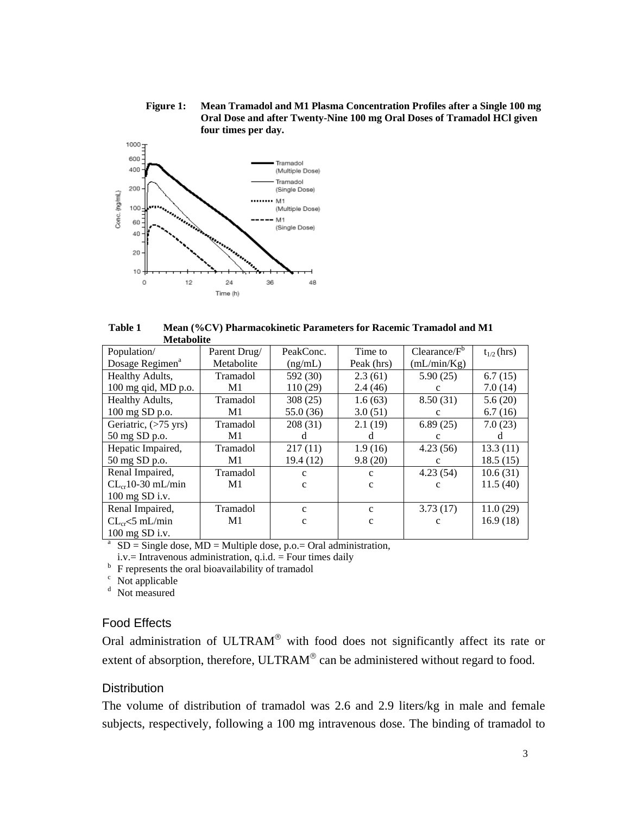#### **Figure 1: Mean Tramadol and M1 Plasma Concentration Profiles after a Single 100 mg Oral Dose and after Twenty-Nine 100 mg Oral Doses of Tramadol HCl given four times per day.**



**Table 1 Mean (%CV) Pharmacokinetic Parameters for Racemic Tramadol and M1 Metabolite** 

| www.                        |              |              |              |                          |                 |
|-----------------------------|--------------|--------------|--------------|--------------------------|-----------------|
| Population/                 | Parent Drug/ | PeakConc.    | Time to      | Clearance/F <sup>b</sup> | $t_{1/2}$ (hrs) |
| Dosage Regimen <sup>a</sup> | Metabolite   | (ng/mL)      | Peak (hrs)   | (mL/min/Kg)              |                 |
| Healthy Adults,             | Tramadol     | 592 (30)     | 2.3(61)      | 5.90(25)                 | 6.7(15)         |
| 100 mg qid, MD p.o.         | M1           | 110(29)      | 2.4(46)      | c                        | 7.0(14)         |
| Healthy Adults,             | Tramadol     | 308(25)      | 1.6(63)      | 8.50(31)                 | 5.6(20)         |
| 100 mg SD p.o.              | M1           | 55.0 (36)    | 3.0(51)      | $\mathbf{C}$             | 6.7(16)         |
| Geriatric, (>75 yrs)        | Tramadol     | 208(31)      | 2.1(19)      | 6.89(25)                 | 7.0(23)         |
| 50 mg SD p.o.               | M1           | d            | d            | $\mathcal{C}$            | d               |
| Hepatic Impaired,           | Tramadol     | 217(11)      | 1.9(16)      | 4.23(56)                 | 13.3(11)        |
| 50 mg SD p.o.               | M1           | 19.4 (12)    | 9.8(20)      | c                        | 18.5(15)        |
| Renal Impaired,             | Tramadol     | c            | c            | 4.23(54)                 | 10.6(31)        |
| $CL_{cr}$ 10-30 mL/min      | M1           | $\mathbf{C}$ | $\mathbf{C}$ | C                        | 11.5(40)        |
| 100 mg SD i.v.              |              |              |              |                          |                 |
| Renal Impaired,             | Tramadol     | $\mathbf{c}$ | $\mathbf{C}$ | 3.73(17)                 | 11.0(29)        |
| $CL_{cr} < 5$ mL/min        | M1           | $\mathbf{C}$ | $\mathbf{C}$ | с                        | 16.9(18)        |
| 100 mg SD i.v.              |              |              |              |                          |                 |

<sup>a</sup> SD = Single dose, MD = Multiple dose, p.o. = Oral administration,

 $i.v.$ = Intravenous administration,  $q.i.d.$  = Four times daily

 $\overrightarrow{b}$  F represents the oral bioavailability of tramadol

c Not applicable

d Not measured

### Food Effects

Oral administration of ULTRAM® with food does not significantly affect its rate or extent of absorption, therefore, ULTRAM® can be administered without regard to food.

#### **Distribution**

The volume of distribution of tramadol was 2.6 and 2.9 liters/kg in male and female subjects, respectively, following a 100 mg intravenous dose. The binding of tramadol to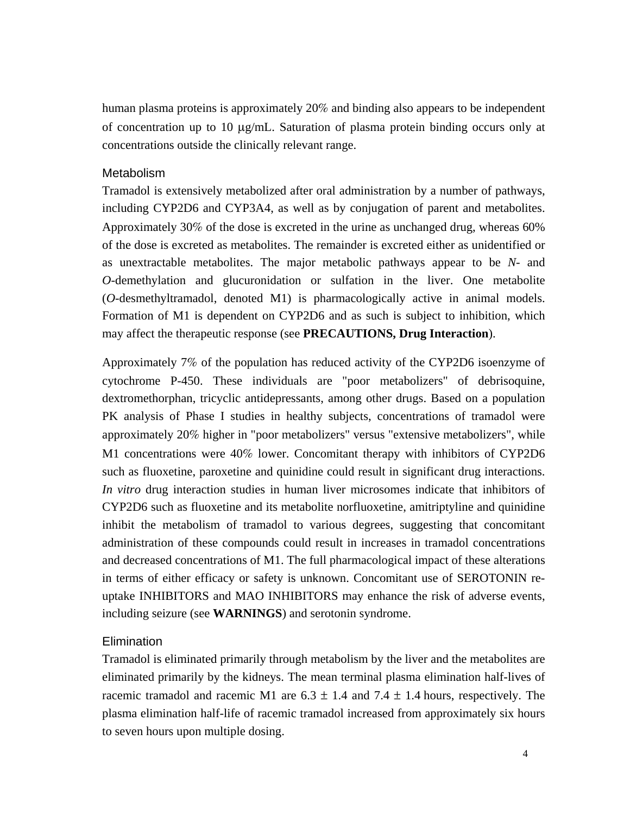human plasma proteins is approximately 20% and binding also appears to be independent of concentration up to 10 μg/mL. Saturation of plasma protein binding occurs only at concentrations outside the clinically relevant range.

#### **Metabolism**

Tramadol is extensively metabolized after oral administration by a number of pathways, including CYP2D6 and CYP3A4, as well as by conjugation of parent and metabolites. Approximately 30% of the dose is excreted in the urine as unchanged drug, whereas 60% of the dose is excreted as metabolites. The remainder is excreted either as unidentified or as unextractable metabolites. The major metabolic pathways appear to be *N*- and *O*-demethylation and glucuronidation or sulfation in the liver. One metabolite (*O*-desmethyltramadol, denoted M1) is pharmacologically active in animal models. Formation of M1 is dependent on CYP2D6 and as such is subject to inhibition, which may affect the therapeutic response (see **PRECAUTIONS, Drug Interaction**).

Approximately 7% of the population has reduced activity of the CYP2D6 isoenzyme of cytochrome P-450. These individuals are "poor metabolizers" of debrisoquine, dextromethorphan, tricyclic antidepressants, among other drugs. Based on a population PK analysis of Phase I studies in healthy subjects, concentrations of tramadol were approximately 20% higher in "poor metabolizers" versus "extensive metabolizers", while M1 concentrations were 40% lower. Concomitant therapy with inhibitors of CYP2D6 such as fluoxetine, paroxetine and quinidine could result in significant drug interactions. *In vitro* drug interaction studies in human liver microsomes indicate that inhibitors of CYP2D6 such as fluoxetine and its metabolite norfluoxetine, amitriptyline and quinidine inhibit the metabolism of tramadol to various degrees, suggesting that concomitant administration of these compounds could result in increases in tramadol concentrations and decreased concentrations of M1. The full pharmacological impact of these alterations in terms of either efficacy or safety is unknown. Concomitant use of SEROTONIN reuptake INHIBITORS and MAO INHIBITORS may enhance the risk of adverse events, including seizure (see **WARNINGS**) and serotonin syndrome.

#### **Elimination**

Tramadol is eliminated primarily through metabolism by the liver and the metabolites are eliminated primarily by the kidneys. The mean terminal plasma elimination half-lives of racemic tramadol and racemic M1 are  $6.3 \pm 1.4$  and  $7.4 \pm 1.4$  hours, respectively. The plasma elimination half-life of racemic tramadol increased from approximately six hours to seven hours upon multiple dosing.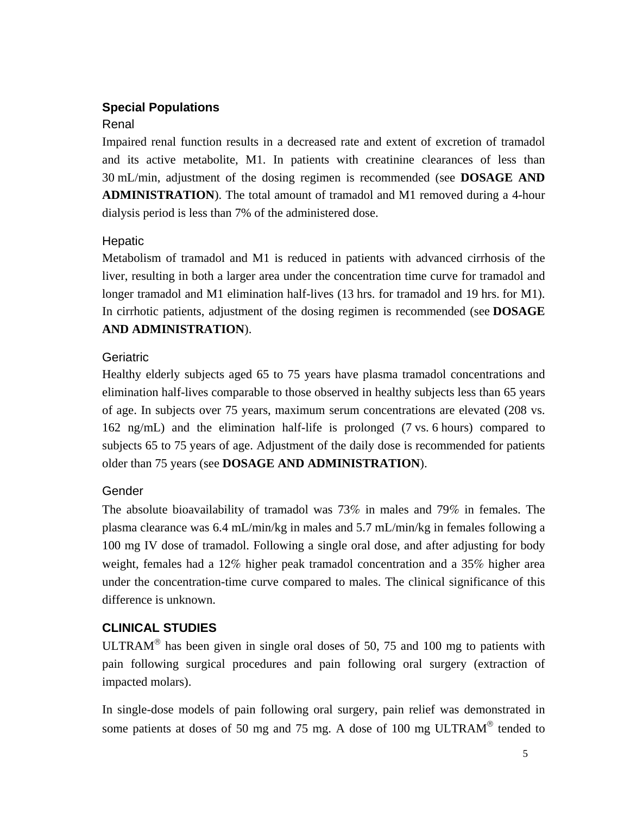### **Special Populations**

#### Renal

Impaired renal function results in a decreased rate and extent of excretion of tramadol and its active metabolite, M1. In patients with creatinine clearances of less than 30 mL/min, adjustment of the dosing regimen is recommended (see **DOSAGE AND ADMINISTRATION**). The total amount of tramadol and M1 removed during a 4-hour dialysis period is less than 7% of the administered dose.

### Hepatic

Metabolism of tramadol and M1 is reduced in patients with advanced cirrhosis of the liver, resulting in both a larger area under the concentration time curve for tramadol and longer tramadol and M1 elimination half-lives (13 hrs. for tramadol and 19 hrs. for M1). In cirrhotic patients, adjustment of the dosing regimen is recommended (see **DOSAGE AND ADMINISTRATION**).

#### **Geriatric**

Healthy elderly subjects aged 65 to 75 years have plasma tramadol concentrations and elimination half-lives comparable to those observed in healthy subjects less than 65 years of age. In subjects over 75 years, maximum serum concentrations are elevated (208 vs. 162 ng/mL) and the elimination half-life is prolonged (7 vs. 6 hours) compared to subjects 65 to 75 years of age. Adjustment of the daily dose is recommended for patients older than 75 years (see **DOSAGE AND ADMINISTRATION**).

### Gender

The absolute bioavailability of tramadol was 73% in males and 79% in females. The plasma clearance was 6.4 mL/min/kg in males and 5.7 mL/min/kg in females following a 100 mg IV dose of tramadol. Following a single oral dose, and after adjusting for body weight, females had a 12% higher peak tramadol concentration and a 35% higher area under the concentration-time curve compared to males. The clinical significance of this difference is unknown.

## **CLINICAL STUDIES**

ULTRAM<sup>®</sup> has been given in single oral doses of 50, 75 and 100 mg to patients with pain following surgical procedures and pain following oral surgery (extraction of impacted molars).

In single-dose models of pain following oral surgery, pain relief was demonstrated in some patients at doses of 50 mg and 75 mg. A dose of 100 mg ULTRAM® tended to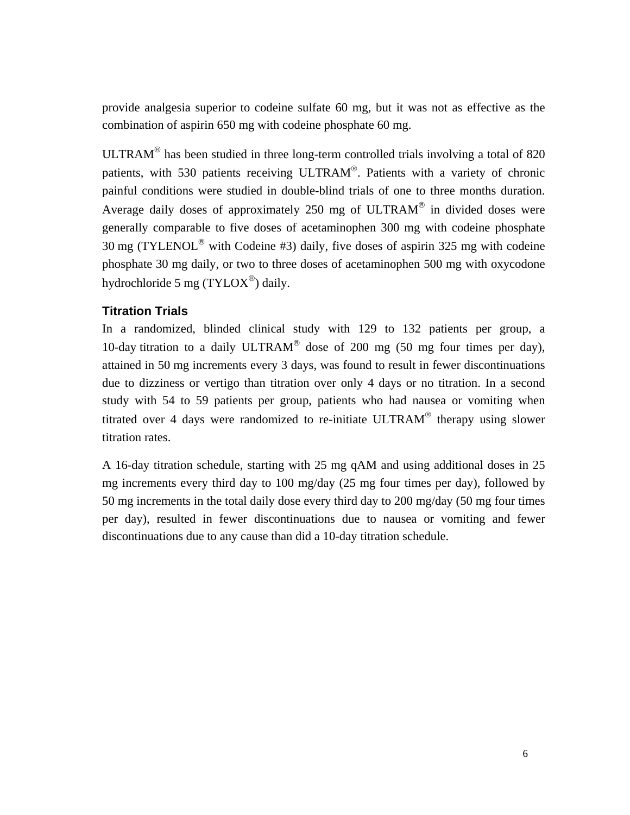provide analgesia superior to codeine sulfate 60 mg, but it was not as effective as the combination of aspirin 650 mg with codeine phosphate 60 mg.

ULTRAM<sup>®</sup> has been studied in three long-term controlled trials involving a total of 820 patients, with 530 patients receiving ULTRAM®. Patients with a variety of chronic painful conditions were studied in double-blind trials of one to three months duration. Average daily doses of approximately 250 mg of ULTRAM® in divided doses were generally comparable to five doses of acetaminophen 300 mg with codeine phosphate 30 mg (TYLENOL<sup>®</sup> with Codeine #3) daily, five doses of aspirin 325 mg with codeine phosphate 30 mg daily, or two to three doses of acetaminophen 500 mg with oxycodone hydrochloride 5 mg (TYLOX<sup>®</sup>) daily.

### **Titration Trials**

In a randomized, blinded clinical study with 129 to 132 patients per group, a 10-day titration to a daily ULTRAM® dose of 200 mg (50 mg four times per day), attained in 50 mg increments every 3 days, was found to result in fewer discontinuations due to dizziness or vertigo than titration over only 4 days or no titration. In a second study with 54 to 59 patients per group, patients who had nausea or vomiting when titrated over 4 days were randomized to re-initiate ULTRAM® therapy using slower titration rates.

A 16-day titration schedule, starting with 25 mg qAM and using additional doses in 25 mg increments every third day to 100 mg/day (25 mg four times per day), followed by 50 mg increments in the total daily dose every third day to 200 mg/day (50 mg four times per day), resulted in fewer discontinuations due to nausea or vomiting and fewer discontinuations due to any cause than did a 10-day titration schedule.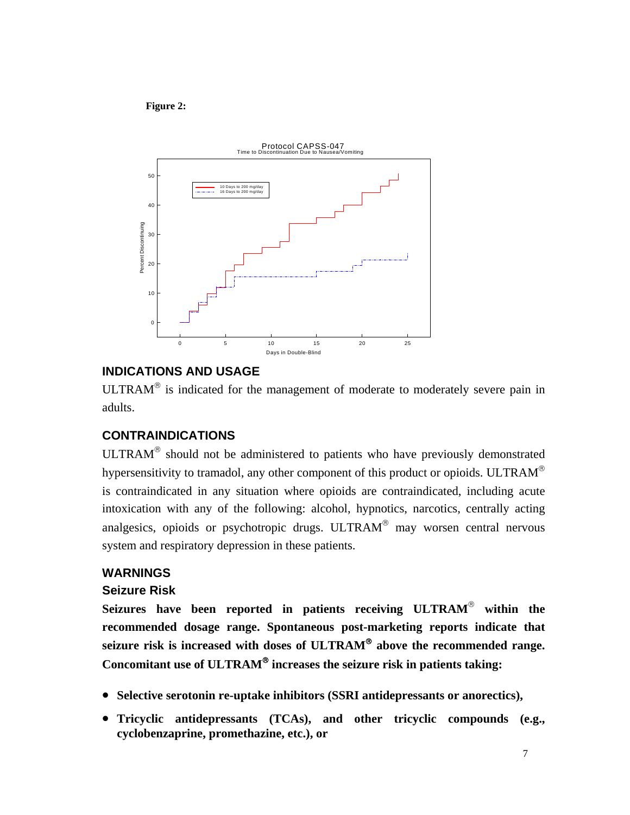**Figure 2:** 



### **INDICATIONS AND USAGE**

ULTRAM® is indicated for the management of moderate to moderately severe pain in adults.

### **CONTRAINDICATIONS**

ULTRAM® should not be administered to patients who have previously demonstrated hypersensitivity to tramadol, any other component of this product or opioids. ULTRAM<sup>®</sup> is contraindicated in any situation where opioids are contraindicated, including acute intoxication with any of the following: alcohol, hypnotics, narcotics, centrally acting analgesics, opioids or psychotropic drugs. ULTRA $M^{\circledR}$  may worsen central nervous system and respiratory depression in these patients.

#### **WARNINGS**

#### **Seizure Risk**

**Seizures have been reported in patients receiving ULTRAM**® **within the recommended dosage range. Spontaneous post-marketing reports indicate that seizure risk is increased with doses of ULTRAM**® **above the recommended range.**  Concomitant use of ULTRAM<sup>®</sup> increases the seizure risk in patients taking:

- • **Selective serotonin re-uptake inhibitors (SSRI antidepressants or anorectics),**
- • **Tricyclic antidepressants (TCAs), and other tricyclic compounds (e.g., cyclobenzaprine , promethazine, etc.), or**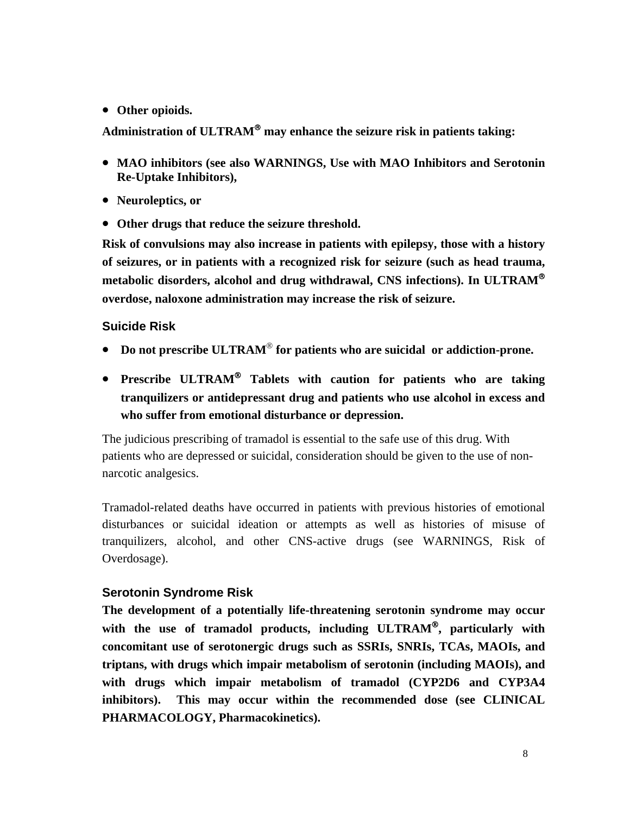• **Other opioids.** 

Administration of ULTRAM® may enhance the seizure risk in patients taking:

- • **MAO inhibitors (see also WARNINGS, Use with MAO Inhibitors and Serotonin Re-Uptake Inhibitors),**
- • **Neuroleptics, or**
- • **Other drugs that reduce the seizure threshold.**

**Risk of convulsions may also increase in patients with epilepsy, those with a history of seizures, or in patients with a recognized risk for seizure (such as head trauma,**  metabolic disorders, alcohol and drug withdrawal, CNS infections). In ULTRAM<sup>®</sup> **overdose, naloxone administration may increase the risk of seizure.** 

#### **Suicide Risk**

- • **Do not prescribe ULTRAM**® **for patients who are suicidal or addiction-prone.**
- • **Prescribe ULTRAM**® **Tablets with caution for patients who are taking tranquilizers or antidepressant drug and patients who use alcohol in excess and who suffer from emotional disturbance or depression.**

The judicious prescribing of tramadol is essential to the safe use of this drug. With patients who are depressed or suicidal, consideration should be given to the use of nonnarcotic analgesics.

Tramadol-related deaths have occurred in patients with previous histories of emotional disturbances or suicidal ideation or attempts as well as histories of misuse of tranquilizers, alcohol, and other CNS-active drugs (see WARNINGS, Risk of Overdosage).

#### **Serotonin Syndrome Risk**

**The development of a potentially life-threatening serotonin syndrome may occur with the use of tramadol products, including ULTRAM**®**, particularly with concomitant use of serotonergic drugs such as SSRIs, SNRIs, TCAs, MAOIs, and triptans, with drugs which impair metabolism of serotonin (including MAOIs), and with drugs which impair metabolism of tramadol (CYP2D6 and CYP3A4**  inhibitors). This may occur within the recommended dose (see CLINICAL **PHARMACOLOGY, Pharmacokinetics).**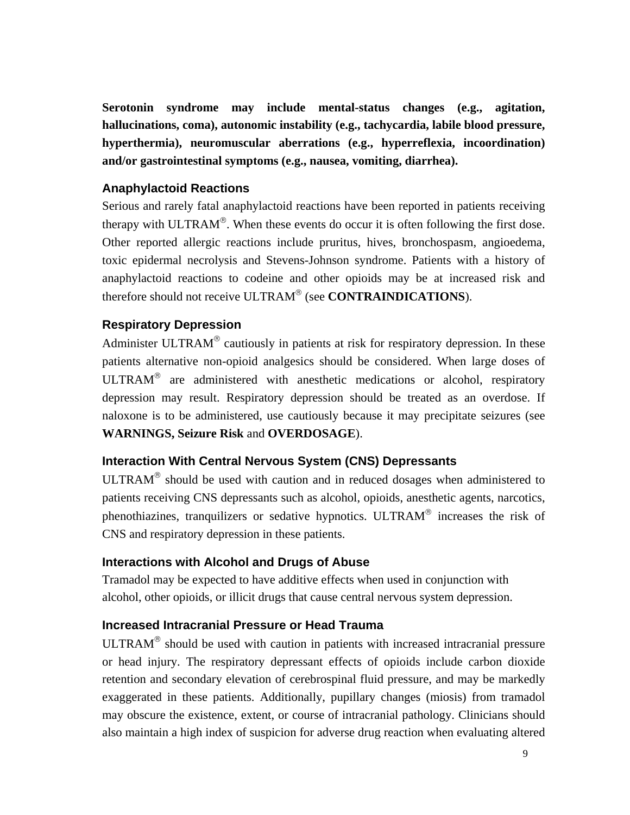**Serotonin syndrome may include mental-status changes (e.g., agitation, hallucinations, coma), autonomic instability (e.g., tachycardia, labile blood pressure, hyperthermia), neuromuscular aberrations (e.g., hyperreflexia, incoordination) and/or gastrointestinal symptoms (e.g., nausea, vomiting, diarrhea).** 

### **Anaphylactoid Reactions**

Serious and rarely fatal anaphylactoid reactions have been reported in patients receiving therapy with ULTRAM<sup>®</sup>. When these events do occur it is often following the first dose. Other reported allergic reactions include pruritus, hives, bronchospasm, angioedema, toxic epidermal necrolysis and Stevens-Johnson syndrome. Patients with a history of anaphylactoid reactions to codeine and other opioids may be at increased risk and therefore should not receive ULTRAM® (see **CONTRAINDICATIONS**).

### **Respiratory Depression**

Administer ULTRAM<sup>®</sup> cautiously in patients at risk for respiratory depression. In these patients alternative non-opioid analgesics should be considered. When large doses of ULTRAM® are administered with anesthetic medications or alcohol, respiratory depression may result. Respiratory depression should be treated as an overdose. If naloxone is to be administered, use cautiously because it may precipitate seizures (see **WARNINGS, Seizure Risk** and **OVERDOSAGE**).

### **Interaction With Central Nervous System (CNS) Depressants**

ULTRAM® should be used with caution and in reduced dosages when administered to patients receiving CNS depressants such as alcohol, opioids, anesthetic agents, narcotics, phenothiazines, tranquilizers or sedative hypnotics. ULTRAM® increases the risk of CNS and respiratory depression in these patients.

#### **Interactions with Alcohol and Drugs of Abuse**

Tramadol may be expected to have additive effects when used in conjunction with alcohol, other opioids, or illicit drugs that cause central nervous system depression.

#### **Increased Intracranial Pressure or Head Trauma**

ULTRAM® should be used with caution in patients with increased intracranial pressure or head injury. The respiratory depressant effects of opioids include carbon dioxide retention and secondary elevation of cerebrospinal fluid pressure, and may be markedly exaggerated in these patients. Additionally, pupillary changes (miosis) from tramadol may obscure the existence, extent, or course of intracranial pathology. Clinicians should also maintain a high index of suspicion for adverse drug reaction when evaluating altered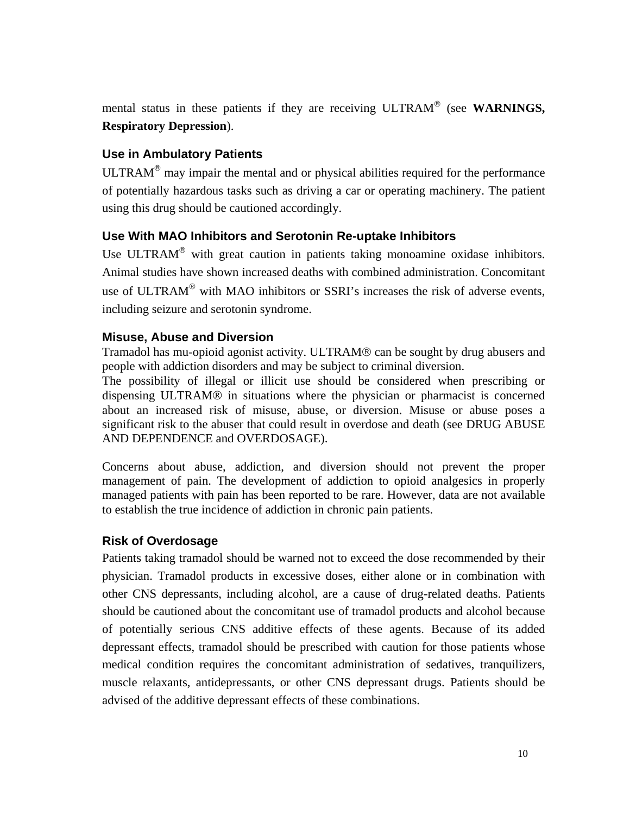mental status in these patients if they are receiving ULTRAM® (see **WARNINGS, Respiratory Depression**).

### **Use in Ambulatory Patients**

 $ULTRAN<sup>®</sup>$  may impair the mental and or physical abilities required for the performance of potentially hazardous tasks such as driving a car or operating machinery. The patient using this drug should be cautioned accordingly.

## **Use With MAO Inhibitors and Serotonin Re-uptake Inhibitors**

Use ULTRAM<sup>®</sup> with great caution in patients taking monoamine oxidase inhibitors. Animal studies have shown increased deaths with combined administration. Concomitant use of ULTRAM® with MAO inhibitors or SSRI's increases the risk of adverse events, including seizure and serotonin syndrome.

### **Misuse, Abuse and Diversion**

Tramadol has mu-opioid agonist activity. ULTRAM® can be sought by drug abusers and people with addiction disorders and may be subject to criminal diversion.

The possibility of illegal or illicit use should be considered when prescribing or dispensing ULTRAM® in situations where the physician or pharmacist is concerned about an increased risk of misuse, abuse, or diversion. Misuse or abuse poses a significant risk to the abuser that could result in overdose and death (see DRUG ABUSE AND DEPENDENCE and OVERDOSAGE).

Concerns about abuse, addiction, and diversion should not prevent the proper management of pain. The development of addiction to opioid analgesics in properly managed patients with pain has been reported to be rare. However, data are not available to establish the true incidence of addiction in chronic pain patients.

### **Risk of Overdosage**

Patients taking tramadol should be warned not to exceed the dose recommended by their physician. Tramadol products in excessive doses, either alone or in combination with other CNS depressants, including alcohol, are a cause of drug-related deaths. Patients should be cautioned about the concomitant use of tramadol products and alcohol because of potentially serious CNS additive effects of these agents. Because of its added depressant effects, tramadol should be prescribed with caution for those patients whose medical condition requires the concomitant administration of sedatives, tranquilizers, muscle relaxants, antidepressants, or other CNS depressant drugs. Patients should be advised of the additive depressant effects of these combinations.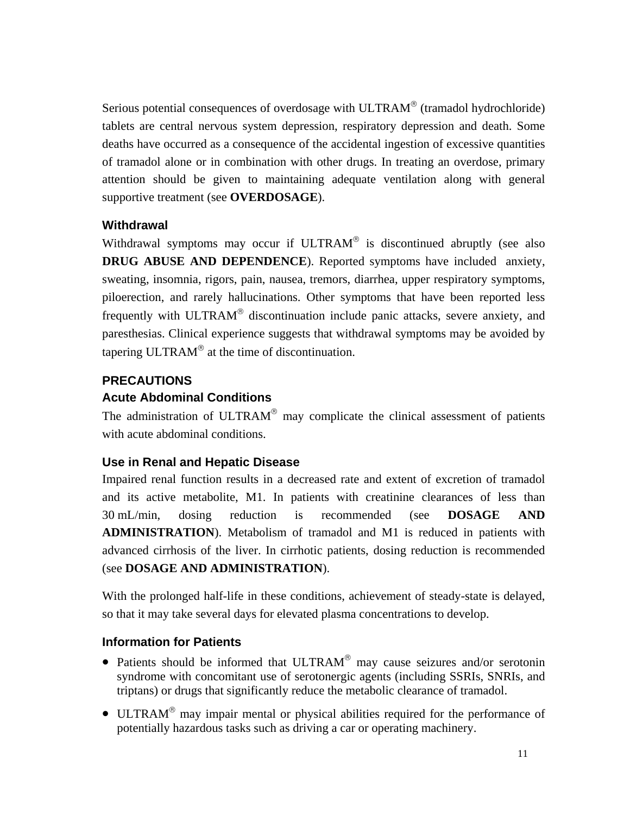Serious potential consequences of overdosage with ULTRAM<sup>®</sup> (tramadol hydrochloride) tablets are central nervous system depression, respiratory depression and death. Some deaths have occurred as a consequence of the accidental ingestion of excessive quantities of tramadol alone or in combination with other drugs. In treating an overdose, primary attention should be given to maintaining adequate ventilation along with general supportive treatment (see **OVERDOSAGE**).

### **Withdrawal**

Withdrawal symptoms may occur if ULTRAM<sup>®</sup> is discontinued abruptly (see also **DRUG ABUSE AND DEPENDENCE**). Reported symptoms have included anxiety, sweating, insomnia, rigors, pain, nausea, tremors, diarrhea, upper respiratory symptoms, piloerection, and rarely hallucinations. Other symptoms that have been reported less frequently with ULTRAM® discontinuation include panic attacks, severe anxiety, and paresthesias. Clinical experience suggests that withdrawal symptoms may be avoided by tapering ULTRAM® at the time of discontinuation.

### **PRECAUTIONS**

#### **Acute Abdominal Conditions**

The administration of ULTRAM<sup>®</sup> may complicate the clinical assessment of patients with acute abdominal conditions.

### **Use in Renal and Hepatic Disease**

Impaired renal function results in a decreased rate and extent of excretion of tramadol and its active metabolite, M1. In patients with creatinine clearances of less than 30 mL/min, dosing reduction is recommended (see **DOSAGE AND ADMINISTRATION**). Metabolism of tramadol and M1 is reduced in patients with advanced cirrhosis of the liver. In cirrhotic patients, dosing reduction is recommended (see **DOSAGE AND ADMINISTRATION**).

With the prolonged half-life in these conditions, achievement of steady-state is delayed, so that it may take several days for elevated plasma concentrations to develop.

#### **Information for Patients**

- Patients should be informed that ULTRAM<sup>®</sup> may cause seizures and/or serotonin syndrome with concomitant use of serotonergic agents (including SSRIs, SNRIs, and triptans) or drugs that significantly reduce the metabolic clearance of tramadol.
- ULTRAM<sup>®</sup> may impair mental or physical abilities required for the performance of potentially hazardous tasks such as driving a car or operating machinery.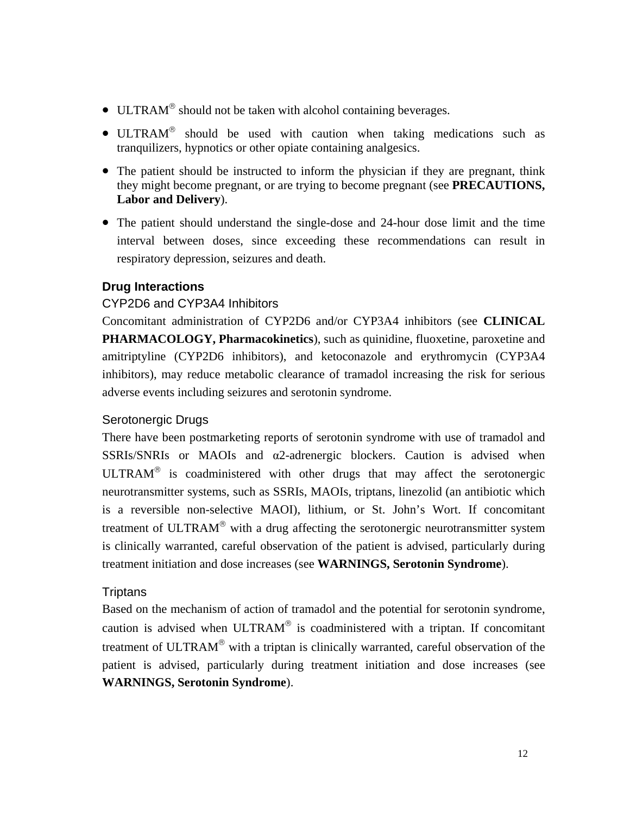- ULTRAM<sup>®</sup> should not be taken with alcohol containing beverages.
- ULTRAM<sup>®</sup> should be used with caution when taking medications such as tranquilizers, hypnotics or other opiate containing analgesics.
- The patient should be instructed to inform the physician if they are pregnant, think they might become pregnant, or are trying to become pregnant (see **PRECAUTIONS, Labor and Delivery**).
- The patient should understand the single-dose and 24-hour dose limit and the time interval between doses, since exceeding these recommendations can result in respiratory depression, seizures and death.

#### **Drug Interactions**

#### CYP2D6 and CYP3A4 Inhibitors

Concomitant administration of CYP2D6 and/or CYP3A4 inhibitors (see **CLINICAL PHARMACOLOGY, Pharmacokinetics**), such as quinidine, fluoxetine, paroxetine and amitriptyline (CYP2D6 inhibitors), and ketoconazole and erythromycin (CYP3A4 inhibitors), may reduce metabolic clearance of tramadol increasing the risk for serious adverse events including seizures and serotonin syndrome.

#### Serotonergic Drugs

There have been postmarketing reports of serotonin syndrome with use of tramadol and SSRIs/SNRIs or MAOIs and  $\alpha$ 2-adrenergic blockers. Caution is advised when ULTRAM<sup>®</sup> is coadministered with other drugs that may affect the serotonergic neurotransmitter systems, such as SSRIs, MAOIs, triptans, linezolid (an antibiotic which is a reversible non-selective MAOI), lithium, or St. John's Wort. If concomitant treatment of ULTRAM® with a drug affecting the serotonergic neurotransmitter system is clinically warranted, careful observation of the patient is advised, particularly during treatment initiation and dose increases (see **WARNINGS, Serotonin Syndrome**).

#### **Triptans**

Based on the mechanism of action of tramadol and the potential for serotonin syndrome, caution is advised when ULTRAM® is coadministered with a triptan. If concomitant treatment of ULTRAM® with a triptan is clinically warranted, careful observation of the patient is advised, particularly during treatment initiation and dose increases (see **WARNINGS, Serotonin Syndrome**).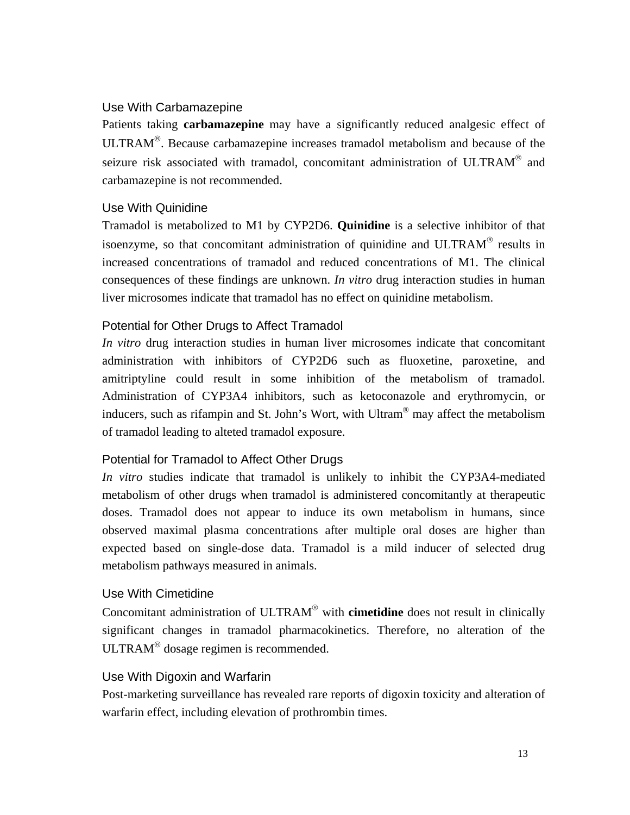### Use With Carbamazepine

Patients taking **carbamazepine** may have a significantly reduced analgesic effect of ULTRAM®. Because carbamazepine increases tramadol metabolism and because of the seizure risk associated with tramadol, concomitant administration of ULTRAM® and carbamazepine is not recommended.

### Use With Quinidine

Tramadol is metabolized to M1 by CYP2D6. **Quinidine** is a selective inhibitor of that isoenzyme, so that concomitant administration of quinidine and ULTRAM® results in increased concentrations of tramadol and reduced concentrations of M1. The clinical consequences of these findings are unknown. *In vitro* drug interaction studies in human liver microsomes indicate that tramadol has no effect on quinidine metabolism.

## Potential for Other Drugs to Affect Tramadol

*In vitro* drug interaction studies in human liver microsomes indicate that concomitant administration with inhibitors of CYP2D6 such as fluoxetine, paroxetine, and amitriptyline could result in some inhibition of the metabolism of tramadol. Administration of CYP3A4 inhibitors, such as ketoconazole and erythromycin, or inducers, such as rifampin and St. John's Wort, with Ultram® may affect the metabolism of tramadol leading to alteted tramadol exposure.

## Potential for Tramadol to Affect Other Drugs

*In vitro* studies indicate that tramadol is unlikely to inhibit the CYP3A4-mediated metabolism of other drugs when tramadol is administered concomitantly at therapeutic doses. Tramadol does not appear to induce its own metabolism in humans, since observed maximal plasma concentrations after multiple oral doses are higher than expected based on single-dose data. Tramadol is a mild inducer of selected drug metabolism pathways measured in animals.

### Use With Cimetidine

Concomitant administration of ULTRAM® with **cimetidine** does not result in clinically significant changes in tramadol pharmacokinetics. Therefore, no alteration of the ULTRAM® dosage regimen is recommended.

### Use With Digoxin and Warfarin

Post-marketing surveillance has revealed rare reports of digoxin toxicity and alteration of warfarin effect, including elevation of prothrombin times.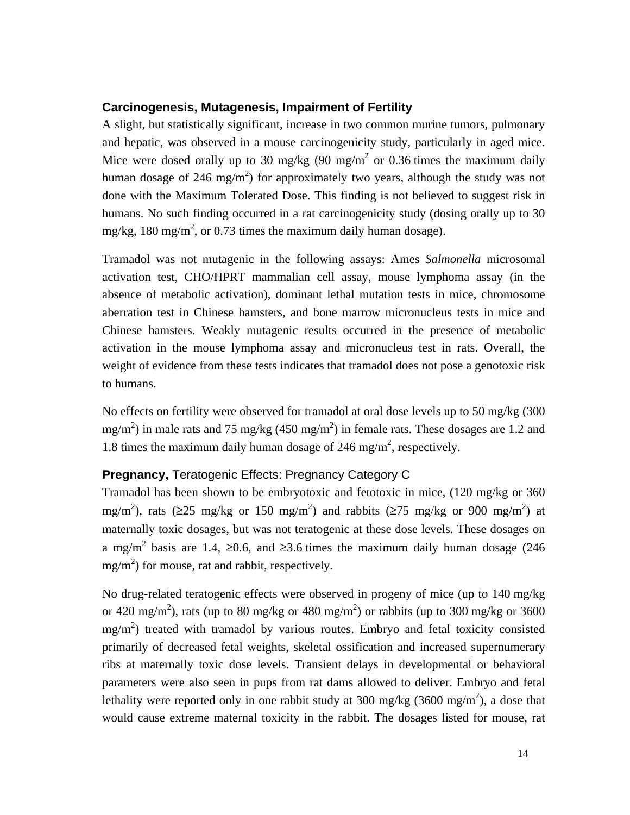#### **Carcinogenesis, Mutagenesis, Impairment of Fertility**

A slight, but statistically significant, increase in two common murine tumors, pulmonary and hepatic, was observed in a mouse carcinogenicity study, particularly in aged mice. Mice were dosed orally up to 30 mg/kg (90 mg/m<sup>2</sup> or 0.36 times the maximum daily human dosage of 246 mg/m<sup>2</sup>) for approximately two years, although the study was not done with the Maximum Tolerated Dose. This finding is not believed to suggest risk in humans. No such finding occurred in a rat carcinogenicity study (dosing orally up to 30 mg/kg, 180 mg/m<sup>2</sup>, or 0.73 times the maximum daily human dosage).

Tramadol was not mutagenic in the following assays: Ames *Salmonella* microsomal activation test, CHO/HPRT mammalian cell assay, mouse lymphoma assay (in the absence of metabolic activation), dominant lethal mutation tests in mice, chromosome aberration test in Chinese hamsters, and bone marrow micronucleus tests in mice and Chinese hamsters. Weakly mutagenic results occurred in the presence of metabolic activation in the mouse lymphoma assay and micronucleus test in rats. Overall, the weight of evidence from these tests indicates that tramadol does not pose a genotoxic risk to humans.

No effects on fertility were observed for tramadol at oral dose levels up to 50 mg/kg (300  $mg/m<sup>2</sup>$ ) in male rats and 75 mg/kg (450 mg/m<sup>2</sup>) in female rats. These dosages are 1.2 and 1.8 times the maximum daily human dosage of 246 mg/m<sup>2</sup>, respectively.

#### **Pregnancy,** Teratogenic Effects: Pregnancy Category C

Tramadol has been shown to be embryotoxic and fetotoxic in mice, (120 mg/kg or 360 mg/m<sup>2</sup>), rats ( $\geq$ 25 mg/kg or 150 mg/m<sup>2</sup>) and rabbits ( $\geq$ 75 mg/kg or 900 mg/m<sup>2</sup>) at maternally toxic dosages, but was not teratogenic at these dose levels. These dosages on a mg/m<sup>2</sup> basis are 1.4, ≥0.6, and ≥3.6 times the maximum daily human dosage (246  $mg/m<sup>2</sup>$ ) for mouse, rat and rabbit, respectively.

No drug-related teratogenic effects were observed in progeny of mice (up to 140 mg/kg or 420 mg/m<sup>2</sup>), rats (up to 80 mg/kg or 480 mg/m<sup>2</sup>) or rabbits (up to 300 mg/kg or 3600  $mg/m<sup>2</sup>$ ) treated with tramadol by various routes. Embryo and fetal toxicity consisted primarily of decreased fetal weights, skeletal ossification and increased supernumerary ribs at maternally toxic dose levels. Transient delays in developmental or behavioral parameters were also seen in pups from rat dams allowed to deliver. Embryo and fetal lethality were reported only in one rabbit study at 300 mg/kg (3600 mg/m<sup>2</sup>), a dose that would cause extreme maternal toxicity in the rabbit. The dosages listed for mouse, rat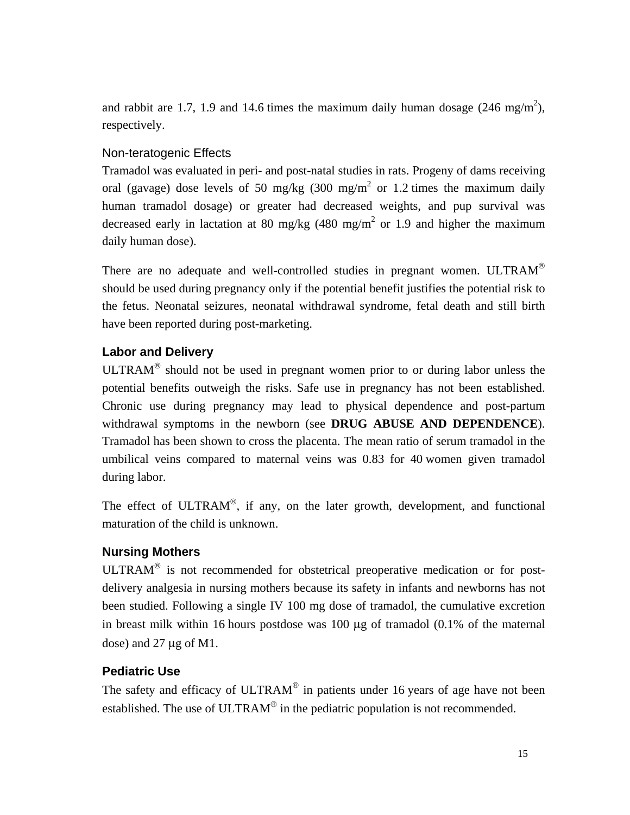and rabbit are 1.7, 1.9 and 14.6 times the maximum daily human dosage  $(246 \text{ mg/m}^2)$ , respectively.

### Non-teratogenic Effects

Tramadol was evaluated in peri- and post-natal studies in rats. Progeny of dams receiving oral (gavage) dose levels of 50 mg/kg  $(300 \text{ mg/m}^2 \text{ or } 1.2 \text{ times the maximum daily})$ human tramadol dosage) or greater had decreased weights, and pup survival was decreased early in lactation at 80 mg/kg  $(480 \text{ mg/m}^2 \text{ or } 1.9 \text{ and higher the maximum})$ daily human dose).

There are no adequate and well-controlled studies in pregnant women. ULTRAM<sup>®</sup> should be used during pregnancy only if the potential benefit justifies the potential risk to the fetus. Neonatal seizures, neonatal withdrawal syndrome, fetal death and still birth have been reported during post-marketing.

## **Labor and Delivery**

ULTRAM<sup>®</sup> should not be used in pregnant women prior to or during labor unless the potential benefits outweigh the risks. Safe use in pregnancy has not been established. Chronic use during pregnancy may lead to physical dependence and post-partum withdrawal symptoms in the newborn (see **DRUG ABUSE AND DEPENDENCE**). Tramadol has been shown to cross the placenta. The mean ratio of serum tramadol in the umbilical veins compared to maternal veins was 0.83 for 40 women given tramadol during labor.

The effect of ULTRAM®, if any, on the later growth, development, and functional maturation of the child is unknown.

## **Nursing Mothers**

ULTRAM® is not recommended for obstetrical preoperative medication or for postdelivery analgesia in nursing mothers because its safety in infants and newborns has not been studied. Following a single IV 100 mg dose of tramadol, the cumulative excretion in breast milk within 16 hours postdose was 100 μg of tramadol (0.1% of the maternal dose) and 27 μg of M1.

## **Pediatric Use**

The safety and efficacy of ULTRAM<sup>®</sup> in patients under 16 years of age have not been established. The use of ULTRAM<sup>®</sup> in the pediatric population is not recommended.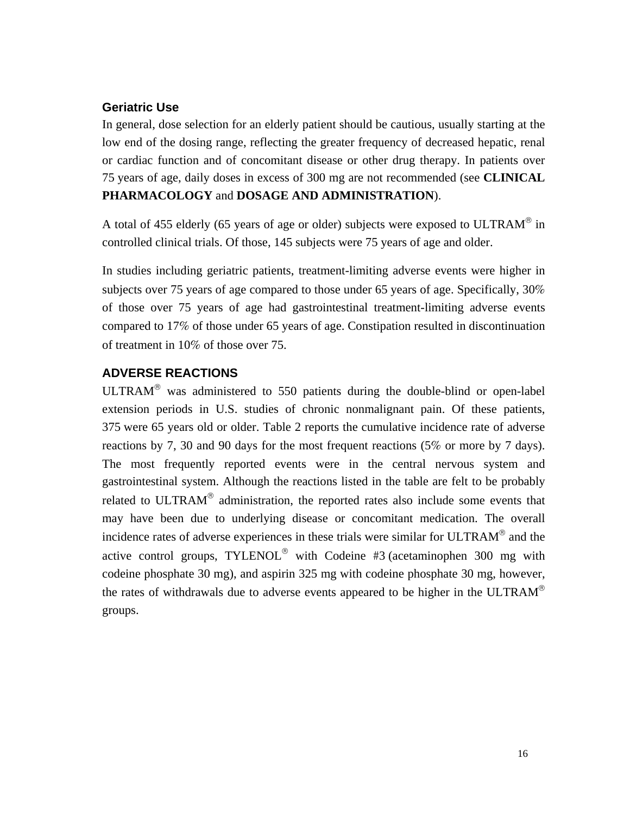### **Geriatric Use**

In general, dose selection for an elderly patient should be cautious, usually starting at the low end of the dosing range, reflecting the greater frequency of decreased hepatic, renal or cardiac function and of concomitant disease or other drug therapy. In patients over 75 years of age, daily doses in excess of 300 mg are not recommended (see **CLINICAL PHARMACOLOGY** and **DOSAGE AND ADMINISTRATION**).

A total of 455 elderly (65 years of age or older) subjects were exposed to ULTRAM® in controlled clinical trials. Of those, 145 subjects were 75 years of age and older.

In studies including geriatric patients, treatment-limiting adverse events were higher in subjects over 75 years of age compared to those under 65 years of age. Specifically, 30% of those over 75 years of age had gastrointestinal treatment-limiting adverse events compared to 17% of those under 65 years of age. Constipation resulted in discontinuation of treatment in 10% of those over 75.

#### **ADVERSE REACTIONS**

 $ULTRAN^{\circ}$  was administered to 550 patients during the double-blind or open-label extension periods in U.S. studies of chronic nonmalignant pain. Of these patients, 375 were 65 years old or older. Table 2 reports the cumulative incidence rate of adverse reactions by 7, 30 and 90 days for the most frequent reactions (5% or more by 7 days). The most frequently reported events were in the central nervous system and gastrointestinal system. Although the reactions listed in the table are felt to be probably related to ULTRAM® administration, the reported rates also include some events that may have been due to underlying disease or concomitant medication. The overall incidence rates of adverse experiences in these trials were similar for ULTRAM® and the active control groups,  $TYLENOL^{\circledast}$  with Codeine #3 (acetaminophen 300 mg with codeine phosphate 30 mg), and aspirin 325 mg with codeine phosphate 30 mg, however, the rates of withdrawals due to adverse events appeared to be higher in the ULTRAM<sup>®</sup> groups.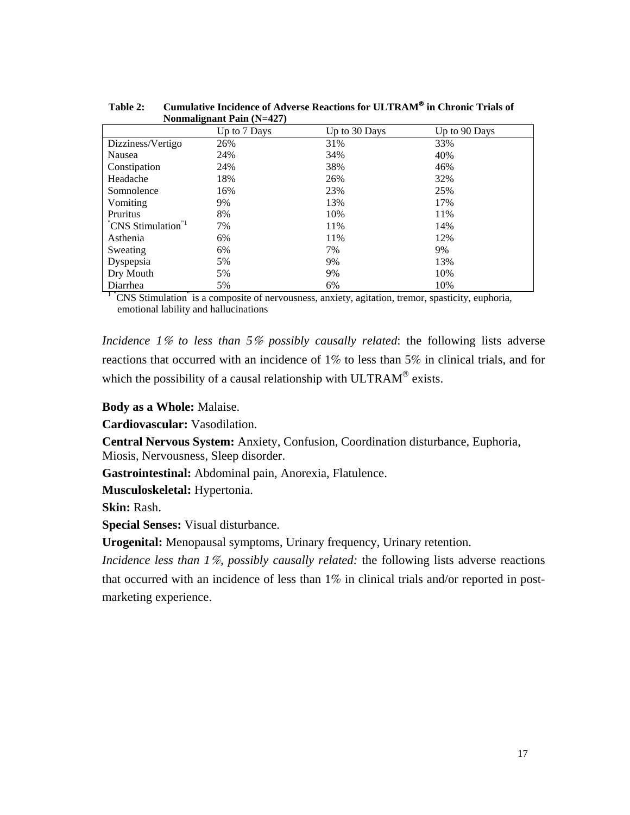| $1$ \\ommanghant 1 am $(1$ \ $-$ +277 |              |                                                                                                    |               |  |
|---------------------------------------|--------------|----------------------------------------------------------------------------------------------------|---------------|--|
|                                       | Up to 7 Days | Up to 30 Days                                                                                      | Up to 90 Days |  |
| Dizziness/Vertigo                     | 26%          | 31%                                                                                                | 33%           |  |
| Nausea                                | 24%          | 34%                                                                                                | 40%           |  |
| Constipation                          | 24%          | 38%                                                                                                | 46%           |  |
| Headache                              | 18%          | 26%                                                                                                | 32%           |  |
| Somnolence                            | 16%          | 23%                                                                                                | 25%           |  |
| Vomiting                              | 9%           | 13%                                                                                                | 17%           |  |
| Pruritus                              | 8%           | 10%                                                                                                | 11%           |  |
| CNS Stimulation <sup>1</sup>          | 7%           | 11%                                                                                                | 14%           |  |
| Asthenia                              | 6%           | 11%                                                                                                | 12%           |  |
| Sweating                              | 6%           | 7%                                                                                                 | 9%            |  |
| Dyspepsia                             | 5%           | 9%                                                                                                 | 13%           |  |
| Dry Mouth                             | 5%           | 9%                                                                                                 | 10%           |  |
| Diarrhea                              | 5%           | 6%                                                                                                 | 10%           |  |
|                                       |              | "CNS Stimulation" is a composite of nervousness, anxiety, agitation, tremor, spasticity, euphoria, |               |  |

**Table 2: Cumulative Incidence of Adverse Reactions for ULTRAM**® **in Chronic Trials of Nonmalignant Pain (N=427)** 

emotional lability and hallucinations

*Incidence 1*% *to less than 5*% *possibly causally related*: the following lists adverse reactions that occurred with an incidence of 1% to less than 5% in clinical trials, and for which the possibility of a causal relationship with ULTRAM® exists.

#### **Body as a Whole:** Malaise.

**Cardiovascular:** Vasodilation.

**Central Nervous System:** Anxiety, Confusion, Coordination disturbance, Euphoria, Miosis, Nervousness, Sleep disorder.

**Gastrointestinal:** Abdominal pain, Anorexia, Flatulence.

**Musculoskeletal:** Hypertonia.

**Skin:** Rash.

**Special Senses:** Visual disturbance.

**Urogenital:** Menopausal symptoms, Urinary frequency, Urinary retention.

*Incidence less than 1*%*, possibly causally related:* the following lists adverse reactions that occurred with an incidence of less than 1% in clinical trials and/or reported in postmarketing experience.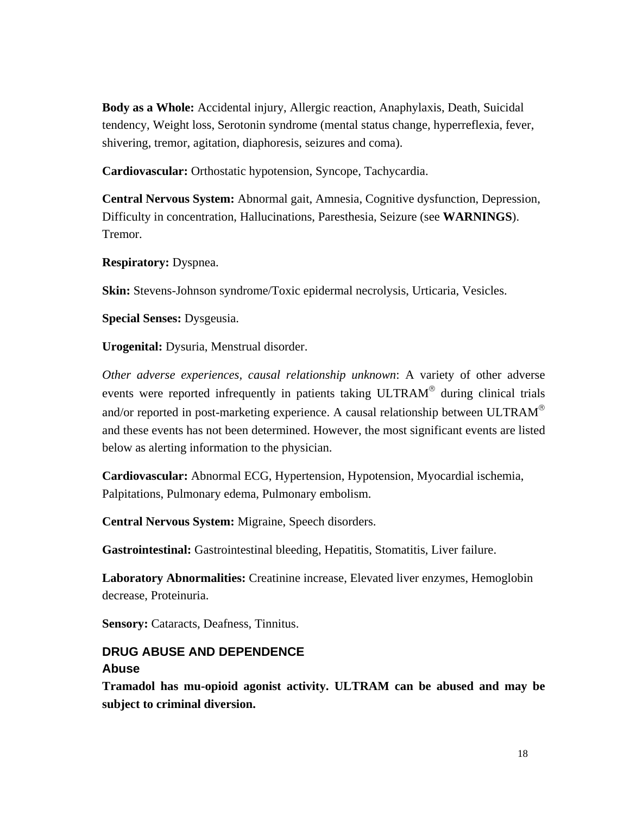**Body as a Whole:** Accidental injury, Allergic reaction, Anaphylaxis, Death, Suicidal tendency, Weight loss, Serotonin syndrome (mental status change, hyperreflexia, fever, shivering, tremor, agitation, diaphoresis, seizures and coma).

**Cardiovascular:** Orthostatic hypotension, Syncope, Tachycardia.

**Central Nervous System:** Abnormal gait, Amnesia, Cognitive dysfunction, Depression, Difficulty in concentration, Hallucinations, Paresthesia, Seizure (see **WARNINGS**). Tremor.

**Respiratory:** Dyspnea.

**Skin:** Stevens-Johnson syndrome/Toxic epidermal necrolysis, Urticaria, Vesicles.

**Special Senses:** Dysgeusia.

**Urogenital:** Dysuria, Menstrual disorder.

*Other adverse experiences, causal relationship unknown*: A variety of other adverse events were reported infrequently in patients taking ULTRAM® during clinical trials and/or reported in post-marketing experience. A causal relationship between ULTRAM<sup>®</sup> and these events has not been determined. However, the most significant events are listed below as alerting information to the physician.

**Cardiovascular:** Abnormal ECG, Hypertension, Hypotension, Myocardial ischemia, Palpitations, Pulmonary edema, Pulmonary embolism.

**Central Nervous System:** Migraine, Speech disorders.

**Gastrointestinal:** Gastrointestinal bleeding, Hepatitis, Stomatitis, Liver failure.

**Laboratory Abnormalities:** Creatinine increase, Elevated liver enzymes, Hemoglobin decrease, Proteinuria.

**Sensory:** Cataracts, Deafness, Tinnitus.

## **DRUG ABUSE AND DEPENDENCE Abuse**

**Tramadol has mu-opioid agonist activity. ULTRAM can be abused and may be subject to criminal diversion.**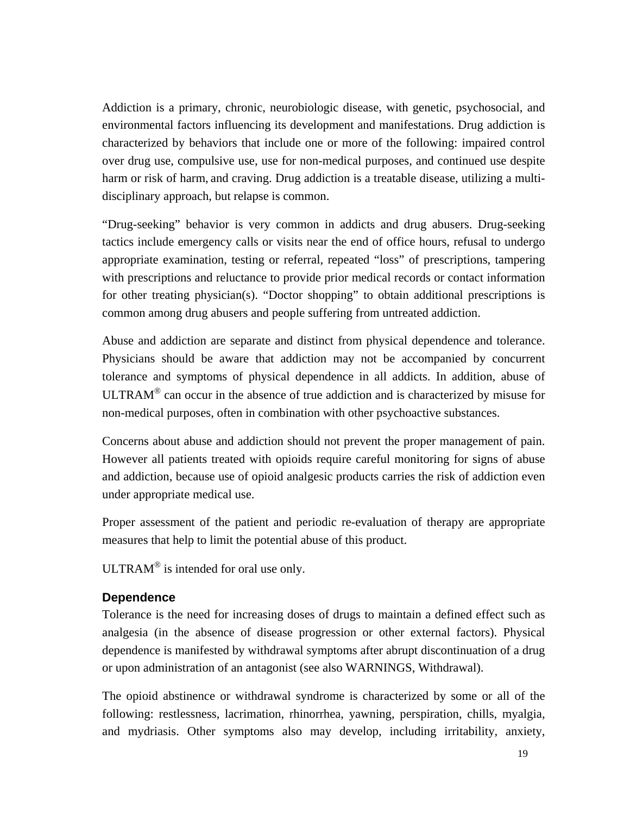Addiction is a primary, chronic, neurobiologic disease, with genetic, psychosocial, and environmental factors influencing its development and manifestations. Drug addiction is characterized by behaviors that include one or more of the following: impaired control over drug use, compulsive use, use for non-medical purposes, and continued use despite harm or risk of harm, and craving. Drug addiction is a treatable disease, utilizing a multidisciplinary approach, but relapse is common.

"Drug-seeking" behavior is very common in addicts and drug abusers. Drug-seeking tactics include emergency calls or visits near the end of office hours, refusal to undergo appropriate examination, testing or referral, repeated "loss" of prescriptions, tampering with prescriptions and reluctance to provide prior medical records or contact information for other treating physician(s). "Doctor shopping" to obtain additional prescriptions is common among drug abusers and people suffering from untreated addiction.

Abuse and addiction are separate and distinct from physical dependence and tolerance. Physicians should be aware that addiction may not be accompanied by concurrent tolerance and symptoms of physical dependence in all addicts. In addition, abuse of ULTRAM® can occur in the absence of true addiction and is characterized by misuse for non-medical purposes, often in combination with other psychoactive substances.

Concerns about abuse and addiction should not prevent the proper management of pain. However all patients treated with opioids require careful monitoring for signs of abuse and addiction, because use of opioid analgesic products carries the risk of addiction even under appropriate medical use.

Proper assessment of the patient and periodic re-evaluation of therapy are appropriate measures that help to limit the potential abuse of this product.

ULTRAM® is intended for oral use only.

### **Dependence**

Tolerance is the need for increasing doses of drugs to maintain a defined effect such as analgesia (in the absence of disease progression or other external factors). Physical dependence is manifested by withdrawal symptoms after abrupt discontinuation of a drug or upon administration of an antagonist (see also WARNINGS, Withdrawal).

The opioid abstinence or withdrawal syndrome is characterized by some or all of the following: restlessness, lacrimation, rhinorrhea, yawning, perspiration, chills, myalgia, and mydriasis. Other symptoms also may develop, including irritability, anxiety,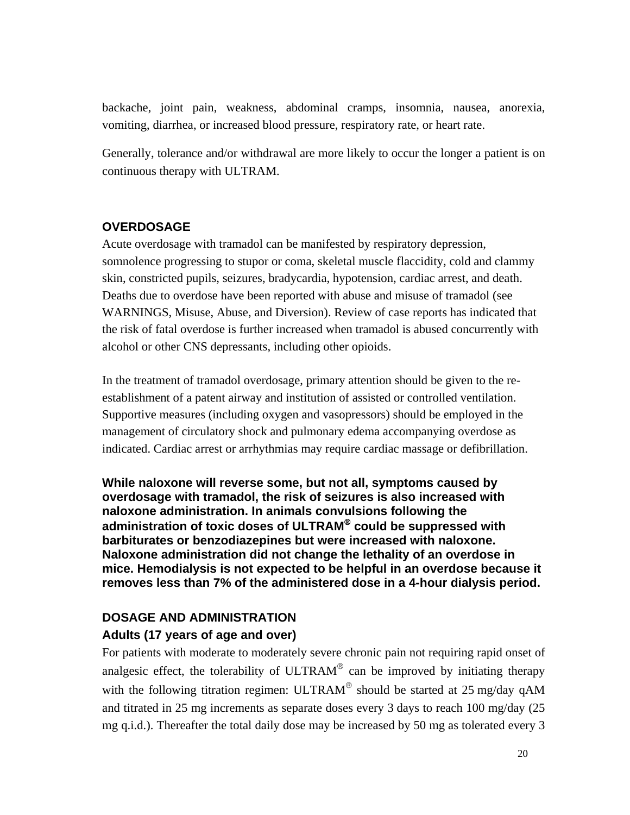backache, joint pain, weakness, abdominal cramps, insomnia, nausea, anorexia, vomiting, diarrhea, or increased blood pressure, respiratory rate, or heart rate.

Generally, tolerance and/or withdrawal are more likely to occur the longer a patient is on continuous therapy with ULTRAM.

### **OVERDOSAGE**

Acute overdosage with tramadol can be manifested by respiratory depression, somnolence progressing to stupor or coma, skeletal muscle flaccidity, cold and clammy skin, constricted pupils, seizures, bradycardia, hypotension, cardiac arrest, and death. Deaths due to overdose have been reported with abuse and misuse of tramadol (see WARNINGS, Misuse, Abuse, and Diversion). Review of case reports has indicated that the risk of fatal overdose is further increased when tramadol is abused concurrently with alcohol or other CNS depressants, including other opioids.

In the treatment of tramadol overdosage, primary attention should be given to the reestablishment of a patent airway and institution of assisted or controlled ventilation. Supportive measures (including oxygen and vasopressors) should be employed in the management of circulatory shock and pulmonary edema accompanying overdose as indicated. Cardiac arrest or arrhythmias may require cardiac massage or defibrillation.

**While naloxone will reverse some, but not all, symptoms caused by overdosage with tramadol, the risk of seizures is also increased with naloxone administration. In animals convulsions following the administration of toxic doses of ULTRAM**® **could be suppressed with barbiturates or benzodiazepines but were increased with naloxone. Naloxone administration did not change the lethality of an overdose in mice. Hemodialysis is not expected to be helpful in an overdose because it removes less than 7% of the administered dose in a 4-hour dialysis period.** 

# **DOSAGE AND ADMINISTRATION Adults (17 years of age and over)**

For patients with moderate to moderately severe chronic pain not requiring rapid onset of analgesic effect, the tolerability of ULTRAM<sup>®</sup> can be improved by initiating therapy with the following titration regimen: ULTRAM® should be started at 25 mg/day qAM and titrated in 25 mg increments as separate doses every 3 days to reach 100 mg/day (25 mg q.i.d.). Thereafter the total daily dose may be increased by 50 mg as tolerated every 3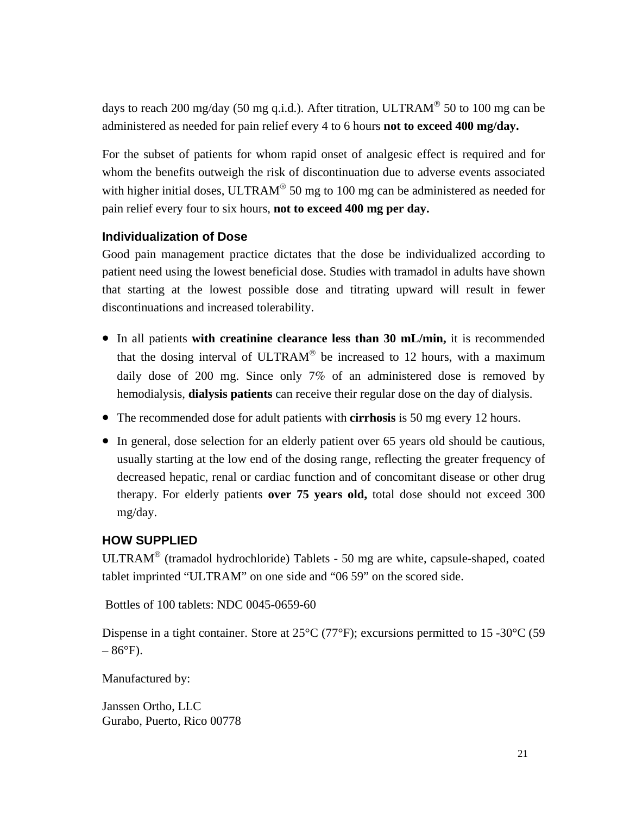days to reach 200 mg/day (50 mg q.i.d.). After titration, ULTRAM<sup>®</sup> 50 to 100 mg can be administered as needed for pain relief every 4 to 6 hours **not to exceed 400 mg/day.** 

For the subset of patients for whom rapid onset of analgesic effect is required and for whom the benefits outweigh the risk of discontinuation due to adverse events associated with higher initial doses, ULTRAM<sup>®</sup> 50 mg to 100 mg can be administered as needed for pain relief every four to six hours, **not to exceed 400 mg per day.** 

### **Individualization of Dose**

Good pain management practice dictates that the dose be individualized according to patient need using the lowest beneficial dose. Studies with tramadol in adults have shown that starting at the lowest possible dose and titrating upward will result in fewer discontinuations and increased tolerability.

- In all patients with creatinine clearance less than 30 mL/min, it is recommended that the dosing interval of ULTRAM<sup>®</sup> be increased to 12 hours, with a maximum daily dose of 200 mg. Since only 7% of an administered dose is removed by hemodialysis, **dialysis patients** can receive their regular dose on the day of dialysis.
- The recommended dose for adult patients with **cirrhosis** is 50 mg every 12 hours.
- In general, dose selection for an elderly patient over 65 years old should be cautious, usually starting at the low end of the dosing range, reflecting the greater frequency of decreased hepatic, renal or cardiac function and of concomitant disease or other drug therapy. For elderly patients **over 75 years old,** total dose should not exceed 300 mg/day.

## **HOW SUPPLIED**

ULTRAM® (tramadol hydrochloride) Tablets - 50 mg are white, capsule-shaped, coated tablet imprinted "ULTRAM" on one side and "06 59" on the scored side.

Bottles of 100 tablets: NDC 0045-0659-60

Dispense in a tight container. Store at 25°C (77°F); excursions permitted to 15 -30°C (59  $-86^{\circ}$ F).

Manufactured by:

Janssen Ortho, LLC Gurabo, Puerto, Rico 00778